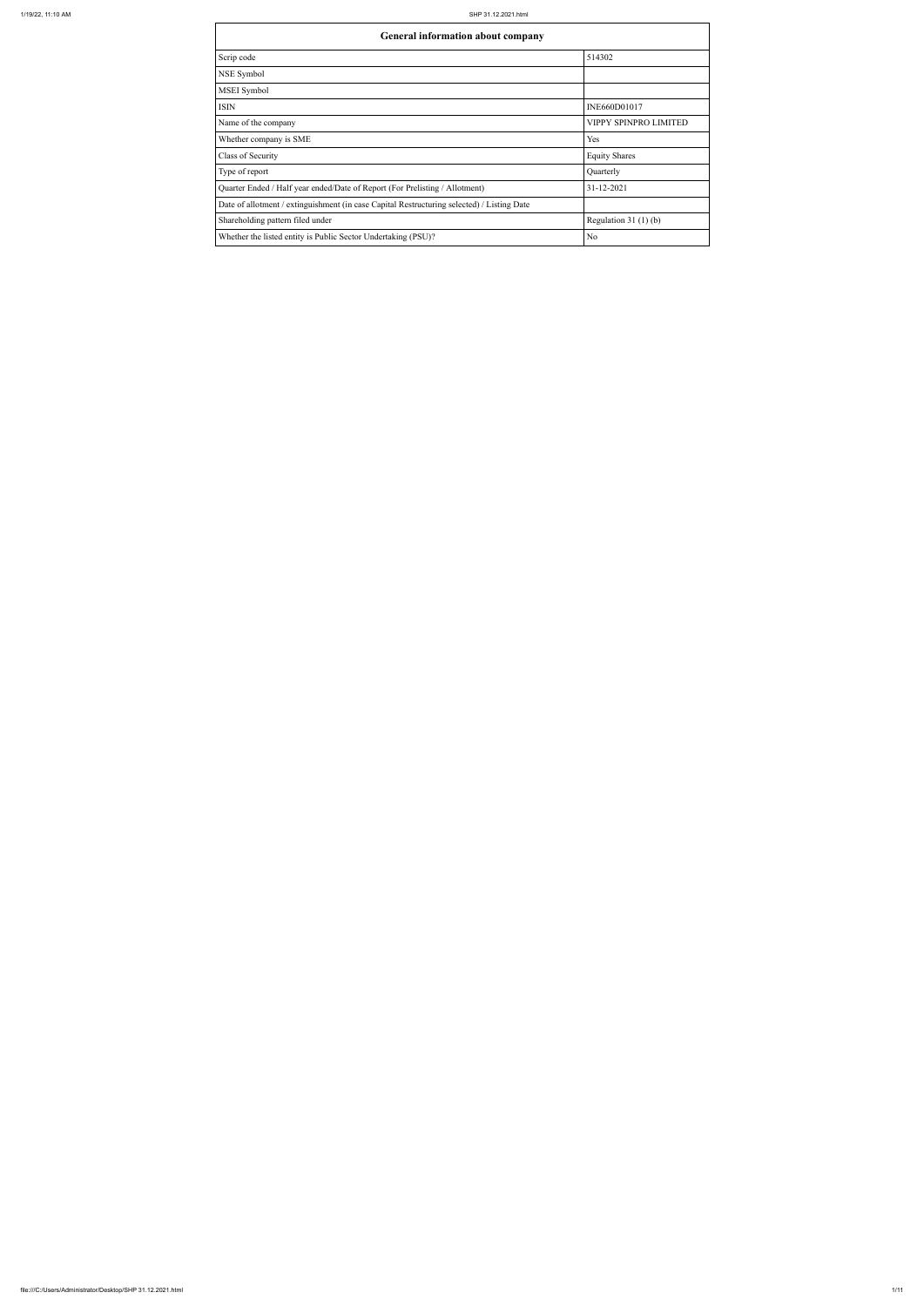| <b>General information about company</b>                                                   |                       |  |  |  |  |  |  |  |  |  |
|--------------------------------------------------------------------------------------------|-----------------------|--|--|--|--|--|--|--|--|--|
| Scrip code                                                                                 | 514302                |  |  |  |  |  |  |  |  |  |
| NSE Symbol                                                                                 |                       |  |  |  |  |  |  |  |  |  |
| MSEI Symbol                                                                                |                       |  |  |  |  |  |  |  |  |  |
| <b>ISIN</b>                                                                                | INE660D01017          |  |  |  |  |  |  |  |  |  |
| Name of the company                                                                        | VIPPY SPINPRO LIMITED |  |  |  |  |  |  |  |  |  |
| Whether company is SME                                                                     | Yes                   |  |  |  |  |  |  |  |  |  |
| Class of Security                                                                          | <b>Equity Shares</b>  |  |  |  |  |  |  |  |  |  |
| Type of report                                                                             | Quarterly             |  |  |  |  |  |  |  |  |  |
| Quarter Ended / Half year ended/Date of Report (For Prelisting / Allotment)                | 31-12-2021            |  |  |  |  |  |  |  |  |  |
| Date of allotment / extinguishment (in case Capital Restructuring selected) / Listing Date |                       |  |  |  |  |  |  |  |  |  |
| Shareholding pattern filed under                                                           | Regulation $31(1)(b)$ |  |  |  |  |  |  |  |  |  |
| Whether the listed entity is Public Sector Undertaking (PSU)?                              | No                    |  |  |  |  |  |  |  |  |  |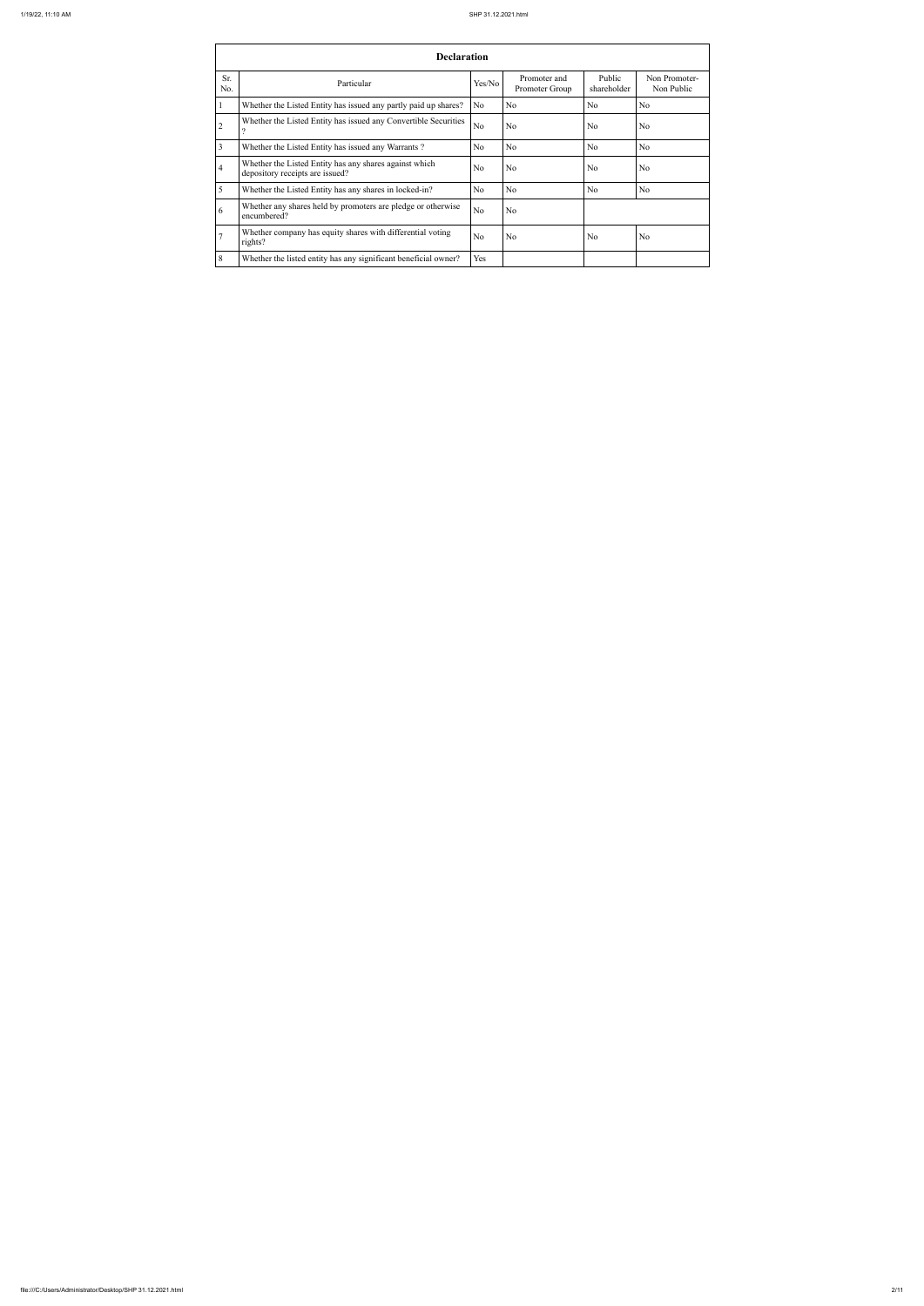|                | <b>Declaration</b>                                                                        |                |                                |                       |                             |  |  |  |  |  |  |  |  |
|----------------|-------------------------------------------------------------------------------------------|----------------|--------------------------------|-----------------------|-----------------------------|--|--|--|--|--|--|--|--|
| Sr.<br>No.     | Particular                                                                                | Yes/No         | Promoter and<br>Promoter Group | Public<br>shareholder | Non Promoter-<br>Non Public |  |  |  |  |  |  |  |  |
|                | Whether the Listed Entity has issued any partly paid up shares?                           | No.            | N <sub>o</sub>                 | N <sub>o</sub>        | N <sub>o</sub>              |  |  |  |  |  |  |  |  |
| $\overline{2}$ | Whether the Listed Entity has issued any Convertible Securities<br>$\ddot{?}$             | N <sub>o</sub> | N <sub>o</sub>                 | No                    | N <sub>o</sub>              |  |  |  |  |  |  |  |  |
| 3              | Whether the Listed Entity has issued any Warrants?                                        | N <sub>o</sub> | N <sub>o</sub>                 | N <sub>o</sub>        | N <sub>o</sub>              |  |  |  |  |  |  |  |  |
| $\overline{4}$ | Whether the Listed Entity has any shares against which<br>depository receipts are issued? | N <sub>o</sub> | N <sub>o</sub>                 | N <sub>o</sub>        | N <sub>o</sub>              |  |  |  |  |  |  |  |  |
| 5              | Whether the Listed Entity has any shares in locked-in?                                    | N <sub>o</sub> | N <sub>o</sub>                 | N <sub>o</sub>        | N <sub>o</sub>              |  |  |  |  |  |  |  |  |
| 6              | Whether any shares held by promoters are pledge or otherwise<br>encumbered?               | N <sub>o</sub> | N <sub>o</sub>                 |                       |                             |  |  |  |  |  |  |  |  |
| $\overline{7}$ | Whether company has equity shares with differential voting<br>rights?                     | N <sub>o</sub> | N <sub>o</sub>                 | N <sub>o</sub>        | N <sub>o</sub>              |  |  |  |  |  |  |  |  |
| 8              | Whether the listed entity has any significant beneficial owner?                           | Yes            |                                |                       |                             |  |  |  |  |  |  |  |  |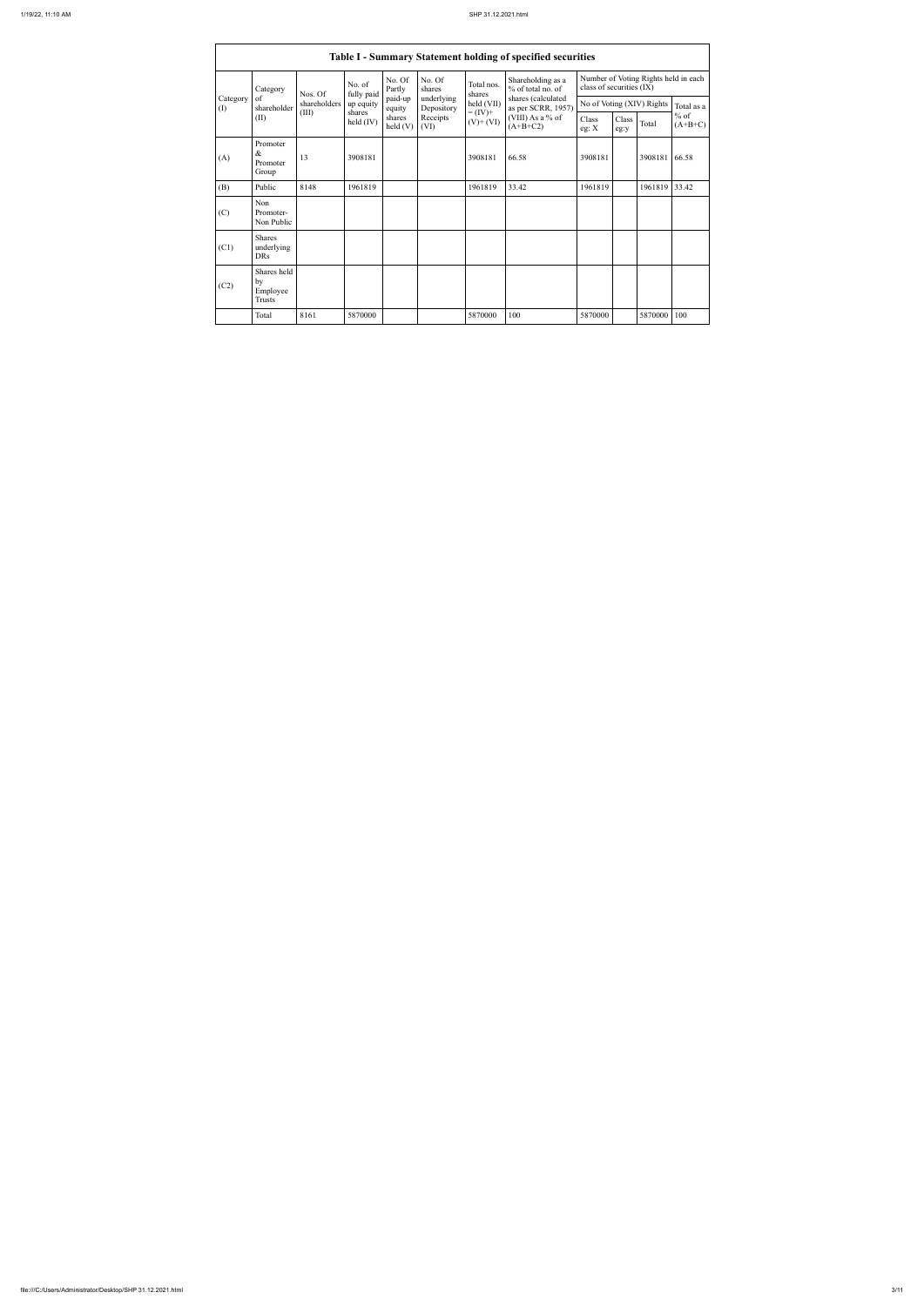|                 | <b>Table I - Summary Statement holding of specified securities</b> |              |                              |                   |                          |                                                                |                                                                            |                                                                  |               |                           |                     |  |  |  |
|-----------------|--------------------------------------------------------------------|--------------|------------------------------|-------------------|--------------------------|----------------------------------------------------------------|----------------------------------------------------------------------------|------------------------------------------------------------------|---------------|---------------------------|---------------------|--|--|--|
|                 | Category<br>of<br>shareholder<br>(II)                              | Nos. Of      | No. of<br>fully paid         | No. Of<br>Partly  | No. Of<br>shares         | Total nos.<br>shares<br>held (VII)<br>$= (IV) +$<br>$(V)+(VI)$ | Shareholding as a<br>% of total no. of                                     | Number of Voting Rights held in each<br>class of securities (IX) |               |                           |                     |  |  |  |
| Category<br>(I) |                                                                    | shareholders | up equity                    | paid-up<br>equity | underlying<br>Depository |                                                                | shares (calculated<br>as per SCRR, 1957)<br>(VIII) As a % of<br>$(A+B+C2)$ |                                                                  |               | No of Voting (XIV) Rights | Total as a          |  |  |  |
|                 |                                                                    | (III)        | shares<br>$\text{held (IV)}$ | shares<br>held(V) | Receipts<br>(VI)         |                                                                |                                                                            | Class<br>eg: X                                                   | Class<br>eg:y | Total                     | $%$ of<br>$(A+B+C)$ |  |  |  |
| (A)             | Promoter<br>$\&$<br>Promoter<br>Group                              | 13           | 3908181                      |                   |                          | 3908181                                                        | 66.58                                                                      | 3908181                                                          |               | 3908181                   | 66.58               |  |  |  |
| (B)             | Public                                                             | 8148         | 1961819                      |                   |                          | 1961819                                                        | 33.42                                                                      | 1961819                                                          |               | 1961819                   | 33.42               |  |  |  |
| (C)             | Non<br>Promoter-<br>Non Public                                     |              |                              |                   |                          |                                                                |                                                                            |                                                                  |               |                           |                     |  |  |  |
| (C1)            | <b>Shares</b><br>underlying<br><b>DRs</b>                          |              |                              |                   |                          |                                                                |                                                                            |                                                                  |               |                           |                     |  |  |  |
| (C2)            | Shares held<br>by<br>Employee<br><b>Trusts</b>                     |              |                              |                   |                          |                                                                |                                                                            |                                                                  |               |                           |                     |  |  |  |
|                 | Total                                                              | 8161         | 5870000                      |                   |                          | 5870000                                                        | 100                                                                        | 5870000                                                          |               | 5870000                   | 100                 |  |  |  |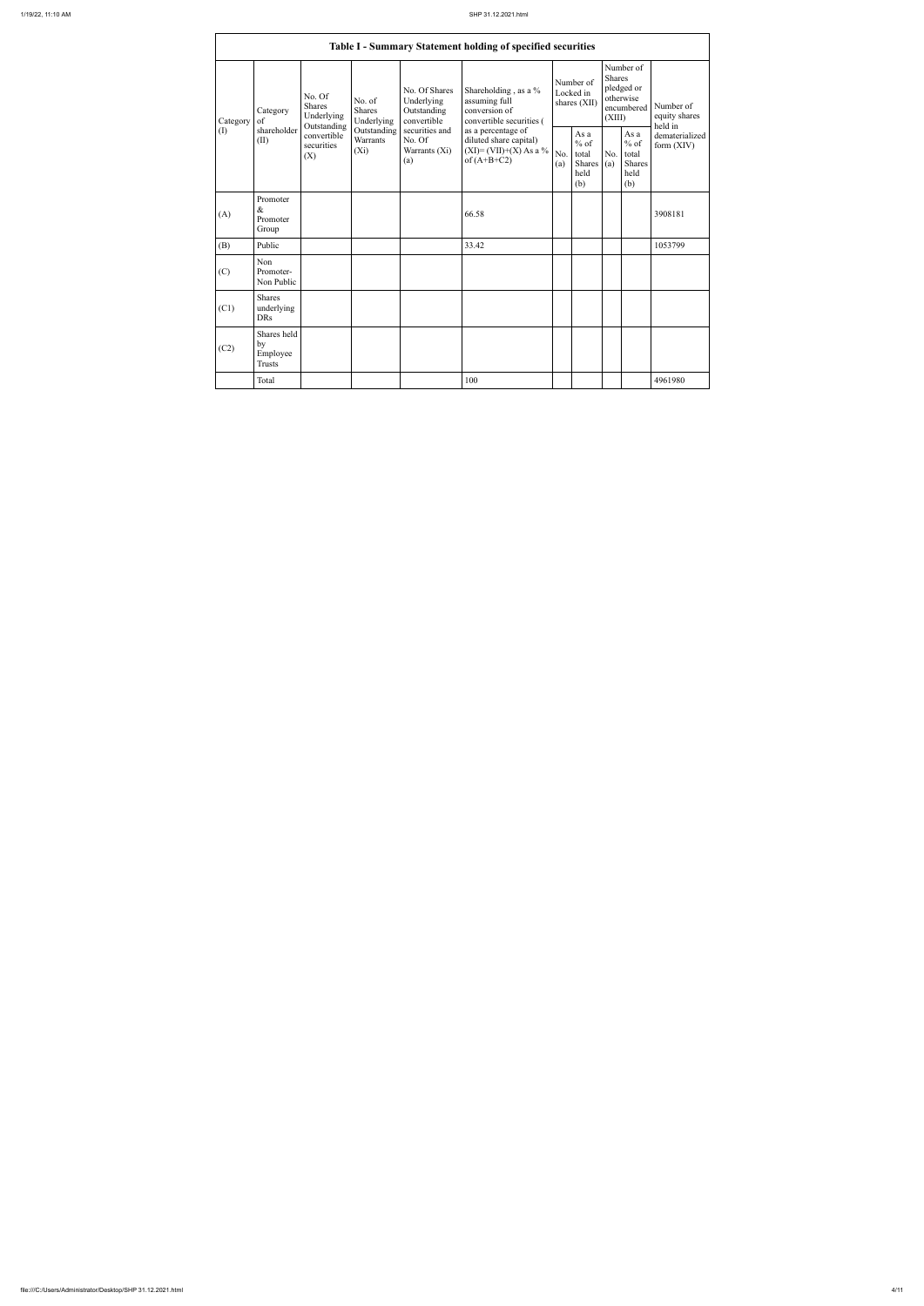$\mathbf{r}$ 

|                 |                                                |                                                 |                                       |                                                           | Table I - Summary Statement holding of specified securities                                |            |                                                  |                         |                                                         |                                       |
|-----------------|------------------------------------------------|-------------------------------------------------|---------------------------------------|-----------------------------------------------------------|--------------------------------------------------------------------------------------------|------------|--------------------------------------------------|-------------------------|---------------------------------------------------------|---------------------------------------|
| Category<br>(I) | Category<br>of<br>shareholder<br>(II)          | No. Of<br>Shares<br>Underlying                  | No. of<br><b>Shares</b><br>Underlying | No. Of Shares<br>Underlying<br>Outstanding<br>convertible | Shareholding, as a %<br>assuming full<br>conversion of<br>convertible securities (         |            | Number of<br>Locked in<br>shares (XII)           | <b>Shares</b><br>(XIII) | Number of<br>pledged or<br>otherwise<br>encumbered      | Number of<br>equity shares<br>held in |
|                 |                                                | Outstanding<br>convertible<br>securities<br>(X) | Outstanding<br>Warrants<br>$(X_i)$    | securities and<br>No. Of<br>Warrants (Xi)<br>(a)          | as a percentage of<br>diluted share capital)<br>$(XI) = (VII)+(X) As a %$<br>of $(A+B+C2)$ | No.<br>(a) | As a<br>$%$ of<br>total<br>Shares<br>held<br>(b) | No.<br>(a)              | As a<br>$%$ of<br>total<br><b>Shares</b><br>held<br>(b) | dematerialized<br>form $(XIV)$        |
| (A)             | Promoter<br>$\&$<br>Promoter<br>Group          |                                                 |                                       |                                                           | 66.58                                                                                      |            |                                                  |                         |                                                         | 3908181                               |
| (B)             | Public                                         |                                                 |                                       |                                                           | 33.42                                                                                      |            |                                                  |                         |                                                         | 1053799                               |
| (C)             | Non<br>Promoter-<br>Non Public                 |                                                 |                                       |                                                           |                                                                                            |            |                                                  |                         |                                                         |                                       |
| (C1)            | <b>Shares</b><br>underlying<br><b>DRs</b>      |                                                 |                                       |                                                           |                                                                                            |            |                                                  |                         |                                                         |                                       |
| (C2)            | Shares held<br>by<br>Employee<br><b>Trusts</b> |                                                 |                                       |                                                           |                                                                                            |            |                                                  |                         |                                                         |                                       |
|                 | Total                                          |                                                 |                                       |                                                           | 100                                                                                        |            |                                                  |                         |                                                         | 4961980                               |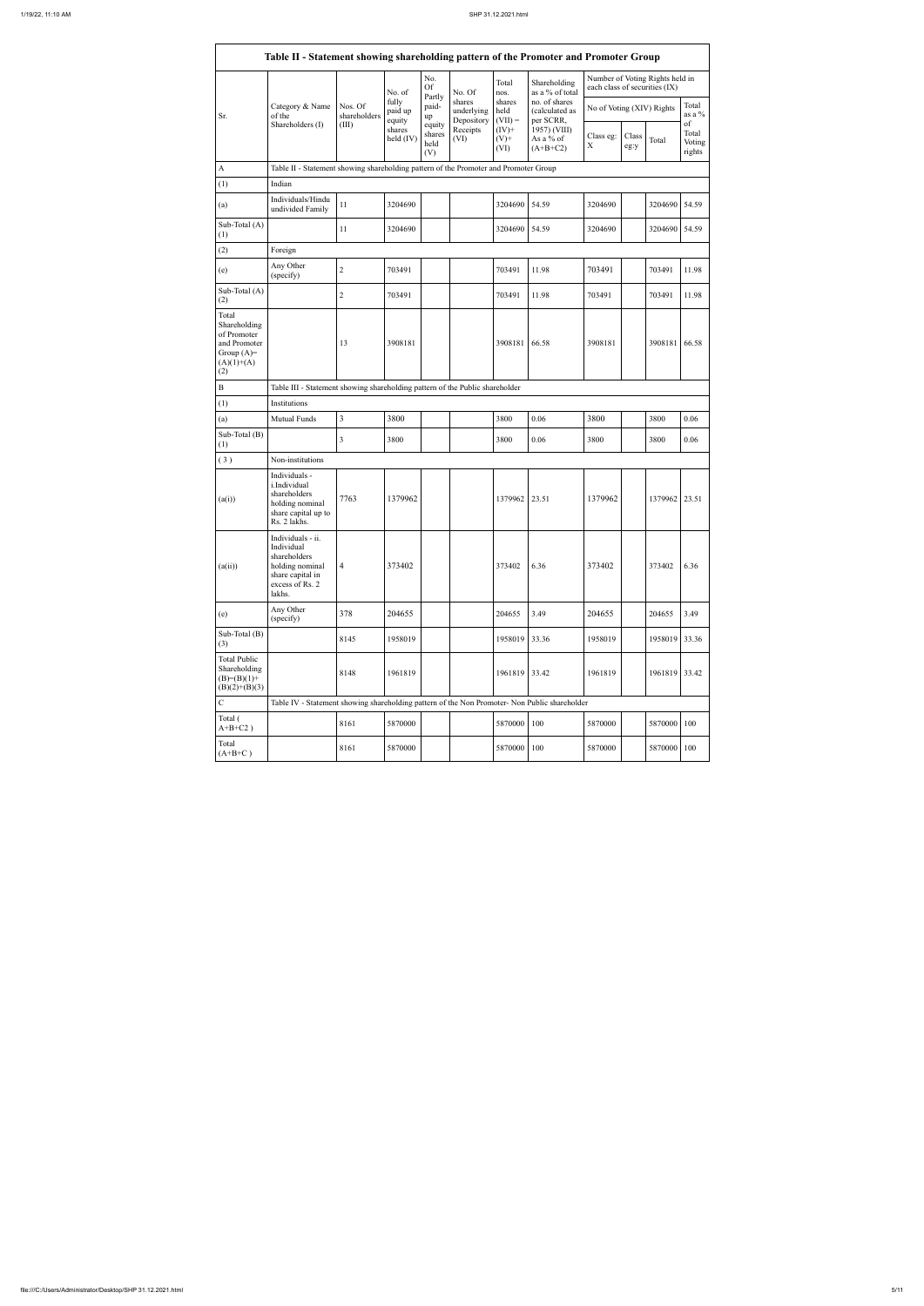|                                                                                             |                                                                                                                     |                         | No. of                     | No.<br><b>Of</b><br>Partly      | No. Of                             | Total<br>nos.               | Shareholding<br>as a % of total              | each class of securities (IX) |               | Number of Voting Rights held in |                           |
|---------------------------------------------------------------------------------------------|---------------------------------------------------------------------------------------------------------------------|-------------------------|----------------------------|---------------------------------|------------------------------------|-----------------------------|----------------------------------------------|-------------------------------|---------------|---------------------------------|---------------------------|
| Sr.                                                                                         | Category & Name<br>of the<br>Shareholders (I)                                                                       | Nos. Of<br>shareholders | fully<br>paid up<br>equity | paid-<br>up                     | shares<br>underlying<br>Depository | shares<br>held<br>$(VII) =$ | no. of shares<br>(calculated as<br>per SCRR, | No of Voting (XIV) Rights     |               |                                 | Total<br>as a $\%$<br>of  |
|                                                                                             |                                                                                                                     | (III)                   | shares<br>held (IV)        | equity<br>shares<br>held<br>(V) | Receipts<br>(VI)                   | $(IV)+$<br>$(V)$ +<br>(VI)  | 1957) (VIII)<br>As a % of<br>$(A+B+C2)$      | Class eg:<br>X                | Class<br>eg:y | Total                           | Total<br>Voting<br>rights |
| $\mathbf{A}$                                                                                | Table II - Statement showing shareholding pattern of the Promoter and Promoter Group                                |                         |                            |                                 |                                    |                             |                                              |                               |               |                                 |                           |
| (1)                                                                                         | Indian                                                                                                              |                         |                            |                                 |                                    |                             |                                              |                               |               |                                 |                           |
| (a)                                                                                         | Individuals/Hindu<br>undivided Family                                                                               | 11                      | 3204690                    |                                 |                                    | 3204690                     | 54.59                                        | 3204690                       |               | 3204690 54.59                   |                           |
| Sub-Total (A)<br>(1)                                                                        |                                                                                                                     | 11                      | 3204690                    |                                 |                                    | 3204690                     | 54.59                                        | 3204690                       |               | 3204690 54.59                   |                           |
| (2)                                                                                         | Foreign                                                                                                             |                         |                            |                                 |                                    |                             |                                              |                               |               |                                 |                           |
| (e)                                                                                         | Any Other<br>(specify)                                                                                              | $\overline{c}$          | 703491                     |                                 |                                    | 703491                      | 11.98                                        | 703491                        |               | 703491                          | 11.98                     |
| Sub-Total (A)<br>(2)                                                                        |                                                                                                                     | $\overline{2}$          | 703491                     |                                 |                                    | 703491                      | 11.98                                        | 703491                        |               | 703491                          | 11.98                     |
| Total<br>Shareholding<br>of Promoter<br>and Promoter<br>Group $(A)=$<br>$(A)(1)+(A)$<br>(2) |                                                                                                                     | 13                      | 3908181                    |                                 |                                    | 3908181                     | 66.58                                        | 3908181                       |               | 3908181                         | 66.58                     |
| $\, {\bf B}$                                                                                | Table III - Statement showing shareholding pattern of the Public shareholder                                        |                         |                            |                                 |                                    |                             |                                              |                               |               |                                 |                           |
| (1)                                                                                         | Institutions                                                                                                        |                         |                            |                                 |                                    |                             |                                              |                               |               |                                 |                           |
| (a)                                                                                         | Mutual Funds                                                                                                        | $\overline{3}$          | 3800                       |                                 |                                    | 3800                        | 0.06                                         | 3800                          |               | 3800                            | 0.06                      |
| Sub-Total (B)<br>(1)                                                                        |                                                                                                                     | 3                       | 3800                       |                                 |                                    | 3800                        | 0.06                                         | 3800                          |               | 3800                            | 0.06                      |
| (3)                                                                                         | Non-institutions                                                                                                    |                         |                            |                                 |                                    |                             |                                              |                               |               |                                 |                           |
| (a(i))                                                                                      | Individuals -<br>i.Individual<br>shareholders<br>holding nominal<br>share capital up to<br>Rs. 2 lakhs.             | 7763                    | 1379962                    |                                 |                                    | 1379962                     | 23.51                                        | 1379962                       |               | 1379962 23.51                   |                           |
| (a(ii))                                                                                     | Individuals - ii.<br>Individual<br>shareholders<br>holding nominal<br>share capital in<br>excess of Rs. 2<br>lakhs. | $\overline{4}$          | 373402                     |                                 |                                    | 373402                      | 6.36                                         | 373402                        |               | 373402                          | 6.36                      |
| (e)                                                                                         | Any Other<br>(specify)                                                                                              | 378                     | 204655                     |                                 |                                    | 204655                      | 3.49                                         | 204655                        |               | 204655                          | 3.49                      |
| Sub-Total (B)<br>(3)                                                                        |                                                                                                                     | 8145                    | 1958019                    |                                 |                                    | 1958019                     | 33.36                                        | 1958019                       |               | 1958019 33.36                   |                           |
| <b>Total Public</b><br>Shareholding<br>$(B)=(B)(1)+$<br>$(B)(2)+(B)(3)$                     |                                                                                                                     | 8148                    | 1961819                    |                                 |                                    | 1961819 33.42               |                                              | 1961819                       |               | 1961819 33.42                   |                           |
| $\overline{C}$                                                                              | Table IV - Statement showing shareholding pattern of the Non Promoter- Non Public shareholder                       |                         |                            |                                 |                                    |                             |                                              |                               |               |                                 |                           |
| Total (<br>$A+B+C2$ )                                                                       |                                                                                                                     | 8161                    | 5870000                    |                                 |                                    | 5870000                     | 100                                          | 5870000                       |               | 5870000                         | 100                       |
| Total<br>$(A+B+C)$                                                                          |                                                                                                                     | 8161                    | 5870000                    |                                 |                                    | 5870000                     | 100                                          | 5870000                       |               | 5870000                         | 100                       |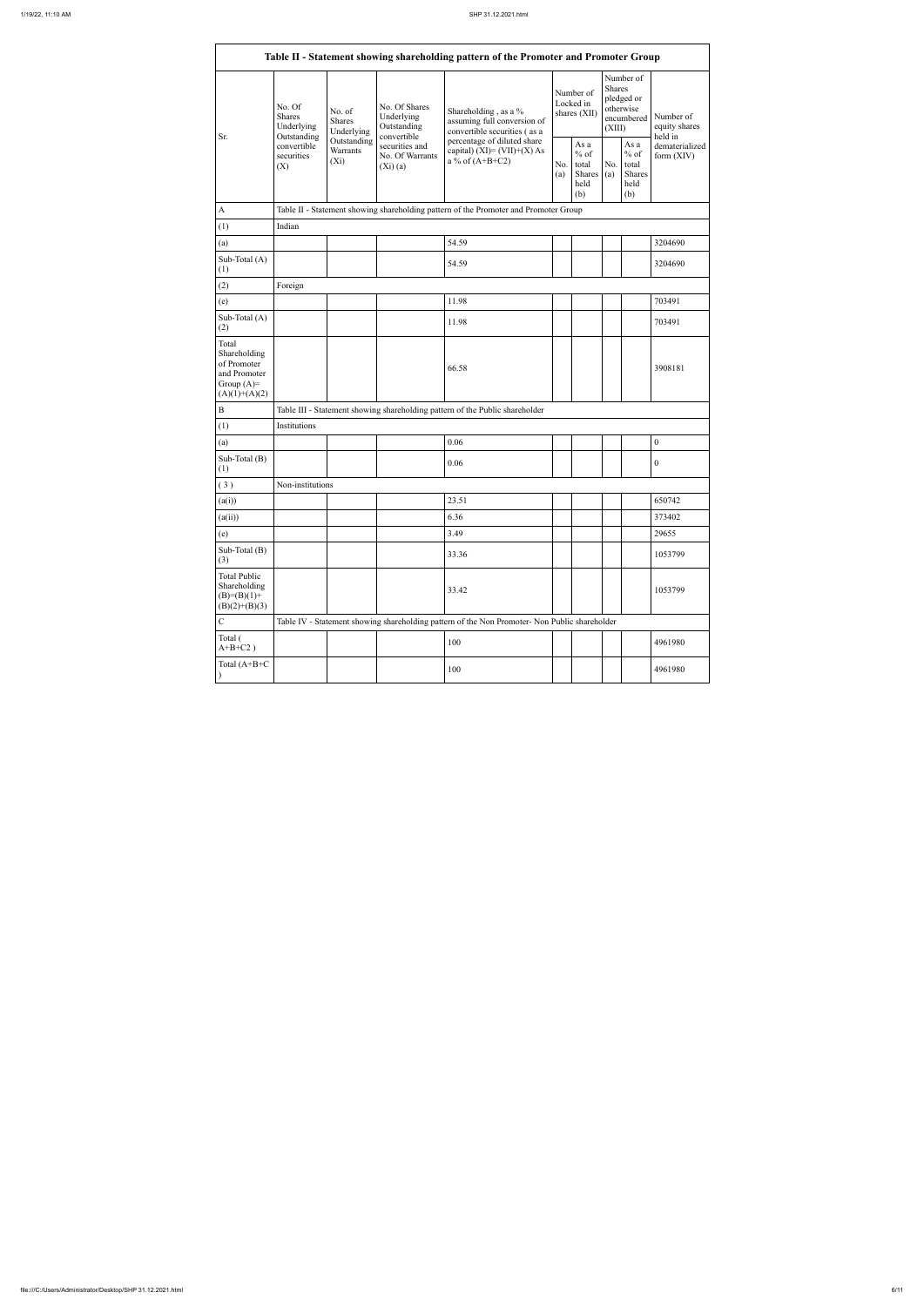| Sr.                                                                                     | No. Of<br><b>Shares</b><br>Underlying<br>Outstanding | No. of<br>Shares<br>Underlying     | No. Of Shares<br>Underlying<br>Outstanding<br>convertible | Shareholding, as a %<br>assuming full conversion of<br>convertible securities (as a           |            | Number of<br>Locked in<br>shares (XII)           | <b>Shares</b><br>(XIII) | Number of<br>pledged or<br>otherwise<br>encumbered | Number of<br>equity shares<br>held in |  |  |
|-----------------------------------------------------------------------------------------|------------------------------------------------------|------------------------------------|-----------------------------------------------------------|-----------------------------------------------------------------------------------------------|------------|--------------------------------------------------|-------------------------|----------------------------------------------------|---------------------------------------|--|--|
|                                                                                         | convertible<br>securities<br>(X)                     | Outstanding<br>Warrants<br>$(X_i)$ | securities and<br>No. Of Warrants<br>(Xi)(a)              | percentage of diluted share<br>capital) $(XI) = (VII)+(X) As$<br>a % of $(A+B+C2)$            | No.<br>(a) | As a<br>$%$ of<br>total<br>Shares<br>held<br>(b) | No.<br>(a)              | As a<br>$%$ of<br>total<br>Shares<br>held<br>(b)   | dematerialized<br>form $(XIV)$        |  |  |
| $\boldsymbol{\rm{A}}$                                                                   |                                                      |                                    |                                                           | Table II - Statement showing shareholding pattern of the Promoter and Promoter Group          |            |                                                  |                         |                                                    |                                       |  |  |
| (1)                                                                                     | Indian                                               |                                    |                                                           |                                                                                               |            |                                                  |                         |                                                    |                                       |  |  |
| (a)                                                                                     |                                                      |                                    |                                                           | 54.59                                                                                         |            |                                                  |                         |                                                    | 3204690                               |  |  |
| Sub-Total (A)<br>(1)                                                                    |                                                      |                                    |                                                           | 54.59                                                                                         |            |                                                  |                         |                                                    | 3204690                               |  |  |
| (2)                                                                                     | Foreign                                              |                                    |                                                           |                                                                                               |            |                                                  |                         |                                                    |                                       |  |  |
| (e)                                                                                     |                                                      |                                    |                                                           | 11.98                                                                                         |            |                                                  |                         |                                                    | 703491                                |  |  |
| Sub-Total $(A)$<br>(2)                                                                  |                                                      |                                    |                                                           | 11.98                                                                                         |            |                                                  |                         |                                                    | 703491                                |  |  |
| Total<br>Shareholding<br>of Promoter<br>and Promoter<br>Group $(A)=$<br>$(A)(1)+(A)(2)$ |                                                      |                                    |                                                           | 66.58                                                                                         |            |                                                  |                         |                                                    | 3908181                               |  |  |
| $\bf{B}$                                                                                |                                                      |                                    |                                                           | Table III - Statement showing shareholding pattern of the Public shareholder                  |            |                                                  |                         |                                                    |                                       |  |  |
| (1)                                                                                     | Institutions                                         |                                    |                                                           |                                                                                               |            |                                                  |                         |                                                    |                                       |  |  |
| (a)                                                                                     |                                                      |                                    |                                                           | 0.06                                                                                          |            |                                                  |                         |                                                    | $\boldsymbol{0}$                      |  |  |
| Sub-Total (B)<br>(1)                                                                    |                                                      |                                    |                                                           | 0.06                                                                                          |            |                                                  |                         |                                                    | $\boldsymbol{0}$                      |  |  |
| (3)                                                                                     | Non-institutions                                     |                                    |                                                           |                                                                                               |            |                                                  |                         |                                                    |                                       |  |  |
| (a(i))                                                                                  |                                                      |                                    |                                                           | 23.51                                                                                         |            |                                                  |                         |                                                    | 650742                                |  |  |
| (a(ii))                                                                                 |                                                      |                                    |                                                           | 6.36                                                                                          |            |                                                  |                         |                                                    | 373402                                |  |  |
| (e)                                                                                     |                                                      |                                    |                                                           | 3.49                                                                                          |            |                                                  |                         |                                                    | 29655                                 |  |  |
| Sub-Total (B)<br>(3)                                                                    |                                                      |                                    |                                                           | 33.36                                                                                         |            |                                                  |                         |                                                    | 1053799                               |  |  |
| <b>Total Public</b><br>Shareholding<br>$(B)= (B)(1) +$<br>$(B)(2)+(B)(3)$               |                                                      |                                    |                                                           | 33.42                                                                                         |            |                                                  |                         |                                                    | 1053799                               |  |  |
| $\mathcal{C}$                                                                           |                                                      |                                    |                                                           | Table IV - Statement showing shareholding pattern of the Non Promoter- Non Public shareholder |            |                                                  |                         |                                                    |                                       |  |  |
| Total (<br>$A+B+C2$ )                                                                   |                                                      |                                    |                                                           | 100                                                                                           |            |                                                  |                         |                                                    | 4961980                               |  |  |
| Total $(A+B+C)$                                                                         |                                                      |                                    |                                                           | 100                                                                                           |            | 4961980                                          |                         |                                                    |                                       |  |  |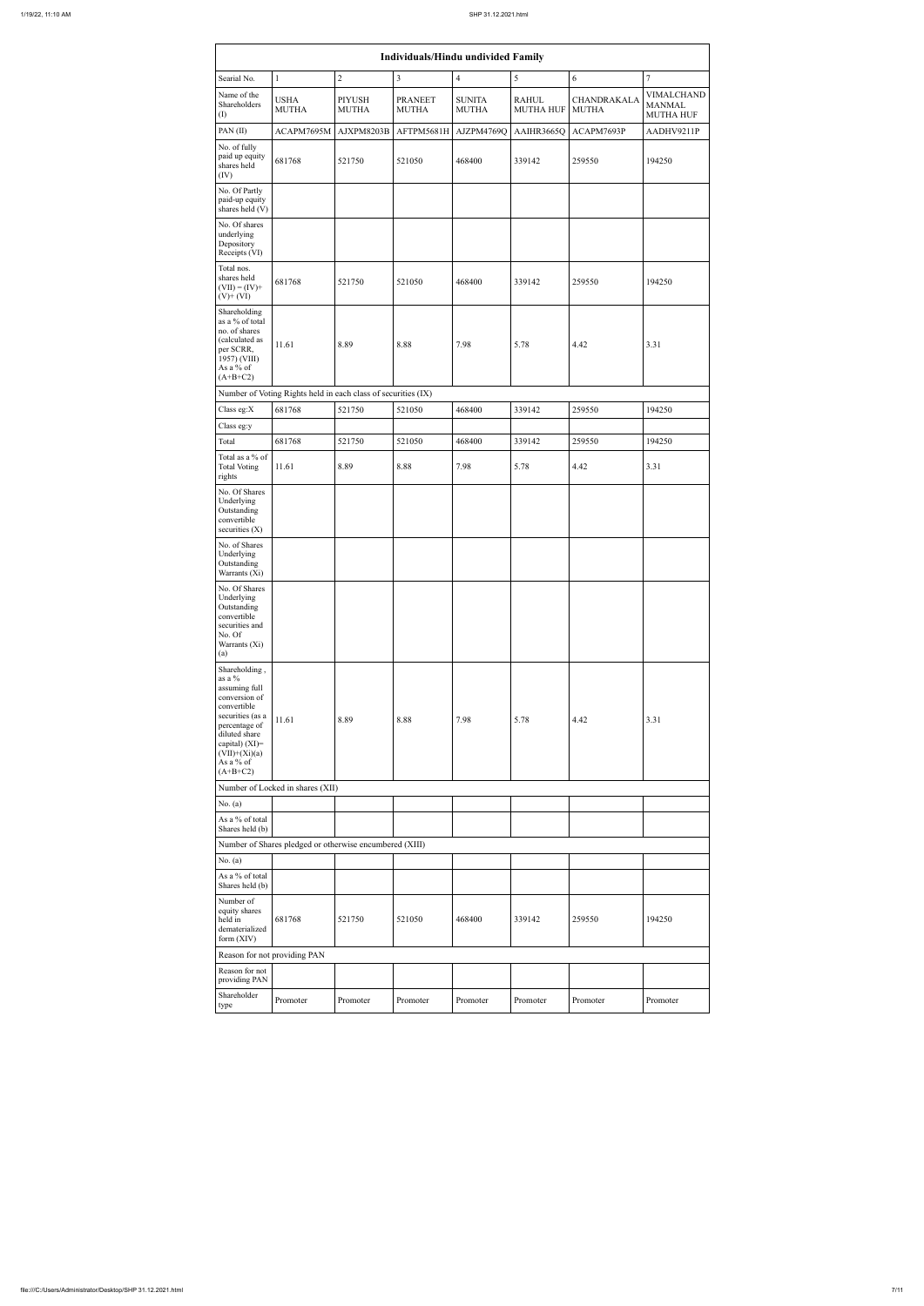|                                                                                                                                                                                                   |                                                               |                               | <b>Individuals/Hindu undivided Family</b> |                               |                                  |                             |                                                        |
|---------------------------------------------------------------------------------------------------------------------------------------------------------------------------------------------------|---------------------------------------------------------------|-------------------------------|-------------------------------------------|-------------------------------|----------------------------------|-----------------------------|--------------------------------------------------------|
| Searial No.                                                                                                                                                                                       | $\mathbf{1}$                                                  | $\overline{2}$                | $\overline{3}$                            | $\overline{4}$                | 5                                | 6                           | $\boldsymbol{7}$                                       |
| Name of the<br>Shareholders<br>(I)                                                                                                                                                                | <b>USHA</b><br><b>MUTHA</b>                                   | <b>PIYUSH</b><br><b>MUTHA</b> | <b>PRANEET</b><br><b>MUTHA</b>            | <b>SUNITA</b><br><b>MUTHA</b> | <b>RAHUL</b><br><b>MUTHA HUF</b> | CHANDRAKALA<br><b>MUTHA</b> | <b>VIMALCHAND</b><br><b>MANMAL</b><br><b>MUTHA HUF</b> |
| PAN $(II)$                                                                                                                                                                                        | ACAPM7695M                                                    | AJXPM8203B                    | AFTPM5681H                                | AJZPM4769Q                    | AAIHR3665Q                       | ACAPM7693P                  | AADHV9211P                                             |
| No. of fully<br>paid up equity<br>shares held<br>(IV)                                                                                                                                             | 681768                                                        | 521750                        | 521050                                    | 468400                        | 339142                           | 259550                      | 194250                                                 |
| No. Of Partly<br>paid-up equity<br>shares held (V)                                                                                                                                                |                                                               |                               |                                           |                               |                                  |                             |                                                        |
| No. Of shares<br>underlying<br>Depository<br>Receipts (VI)                                                                                                                                        |                                                               |                               |                                           |                               |                                  |                             |                                                        |
| Total nos.<br>shares held<br>$(VII) = (IV) +$<br>$(V)$ + $(VI)$                                                                                                                                   | 681768                                                        | 521750                        | 521050                                    | 468400                        | 339142                           | 259550                      | 194250                                                 |
| Shareholding<br>as a % of total<br>no. of shares<br>(calculated as<br>per SCRR,<br>1957) (VIII)<br>As a % of<br>$(A+B+C2)$                                                                        | 11.61                                                         | 8.89                          | 8.88                                      | 7.98                          | 5.78                             | 4.42                        | 3.31                                                   |
|                                                                                                                                                                                                   | Number of Voting Rights held in each class of securities (IX) |                               |                                           |                               |                                  |                             |                                                        |
| Class eg:X                                                                                                                                                                                        | 681768                                                        | 521750                        | 521050                                    | 468400                        | 339142                           | 259550                      | 194250                                                 |
| Class eg:y<br>Total                                                                                                                                                                               | 681768                                                        | 521750                        | 521050                                    | 468400                        | 339142                           | 259550                      | 194250                                                 |
| Total as a % of<br><b>Total Voting</b><br>rights                                                                                                                                                  | 11.61                                                         | 8.89                          | 8.88                                      | 7.98                          | 5.78                             | 4.42                        | 3.31                                                   |
| No. Of Shares<br>Underlying<br>Outstanding<br>convertible<br>securities $(X)$                                                                                                                     |                                                               |                               |                                           |                               |                                  |                             |                                                        |
| No. of Shares<br>Underlying<br>Outstanding<br>Warrants (Xi)                                                                                                                                       |                                                               |                               |                                           |                               |                                  |                             |                                                        |
| No. Of Shares<br>Underlying<br>Outstanding<br>convertible<br>securities and<br>No. Of<br>Warrants (Xi)<br>(a)                                                                                     |                                                               |                               |                                           |                               |                                  |                             |                                                        |
| Shareholding,<br>as a $\%$<br>assuming full<br>conversion of<br>convertible<br>securities (as a<br>percentage of<br>diluted share<br>capital) (XI)=<br>$(VII)+(Xi)(a)$<br>As a % of<br>$(A+B+C2)$ | 11.61                                                         | 8.89                          | 8.88                                      | 7.98                          | 5.78                             | 4.42                        | 3.31                                                   |
|                                                                                                                                                                                                   | Number of Locked in shares (XII)                              |                               |                                           |                               |                                  |                             |                                                        |
| No. $(a)$                                                                                                                                                                                         |                                                               |                               |                                           |                               |                                  |                             |                                                        |
| As a % of total<br>Shares held (b)                                                                                                                                                                | Number of Shares pledged or otherwise encumbered (XIII)       |                               |                                           |                               |                                  |                             |                                                        |
| No. $(a)$                                                                                                                                                                                         |                                                               |                               |                                           |                               |                                  |                             |                                                        |
| As a % of total<br>Shares held (b)                                                                                                                                                                |                                                               |                               |                                           |                               |                                  |                             |                                                        |
| Number of<br>equity shares<br>held in<br>dematerialized<br>form (XIV)                                                                                                                             | 681768                                                        | 521750                        | 521050                                    | 468400                        | 339142                           | 259550                      | 194250                                                 |
|                                                                                                                                                                                                   | Reason for not providing PAN                                  |                               |                                           |                               |                                  |                             |                                                        |
| Reason for not<br>providing PAN                                                                                                                                                                   |                                                               |                               |                                           |                               |                                  |                             |                                                        |
| Shareholder<br>type                                                                                                                                                                               | Promoter                                                      | Promoter                      | Promoter                                  | Promoter                      | Promoter                         | Promoter                    | Promoter                                               |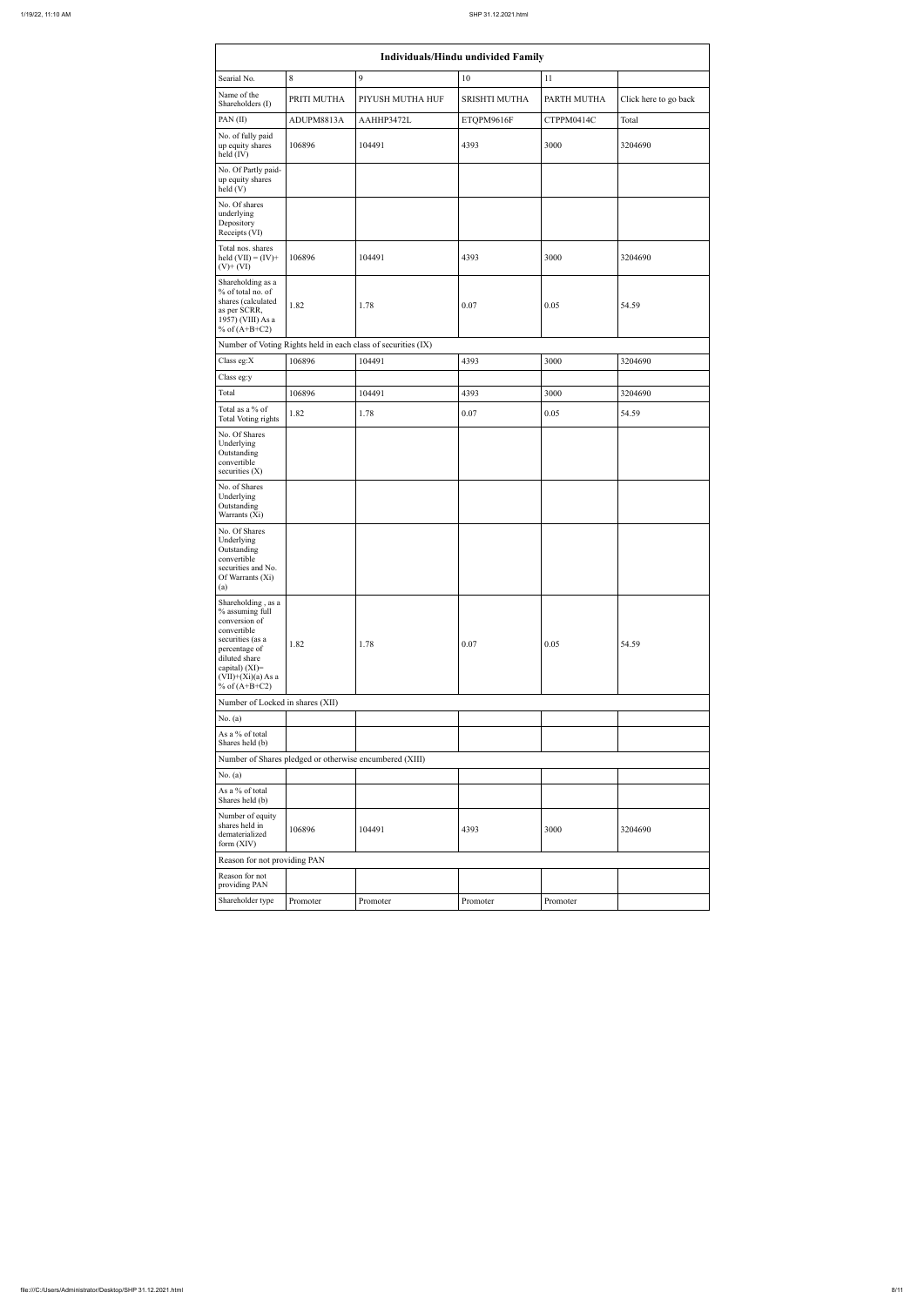|                                                                                                                                                                                          | <b>Individuals/Hindu undivided Family</b> |                                                               |                      |             |                       |  |  |  |  |  |  |  |  |
|------------------------------------------------------------------------------------------------------------------------------------------------------------------------------------------|-------------------------------------------|---------------------------------------------------------------|----------------------|-------------|-----------------------|--|--|--|--|--|--|--|--|
| Searial No.                                                                                                                                                                              | 8                                         | $\overline{9}$                                                | 10                   | 11          |                       |  |  |  |  |  |  |  |  |
| Name of the<br>Shareholders (I)                                                                                                                                                          | PRITI MUTHA                               | PIYUSH MUTHA HUF                                              | <b>SRISHTI MUTHA</b> | PARTH MUTHA | Click here to go back |  |  |  |  |  |  |  |  |
| PAN(II)                                                                                                                                                                                  | ADUPM8813A                                | AAHHP3472L                                                    | ETQPM9616F           | CTPPM0414C  | Total                 |  |  |  |  |  |  |  |  |
| No. of fully paid<br>up equity shares<br>$held$ (IV)                                                                                                                                     | 106896                                    | 104491                                                        | 4393                 | 3000        | 3204690               |  |  |  |  |  |  |  |  |
| No. Of Partly paid-<br>up equity shares<br>held(V)                                                                                                                                       |                                           |                                                               |                      |             |                       |  |  |  |  |  |  |  |  |
| No. Of shares<br>underlying<br>Depository<br>Receipts (VI)                                                                                                                               |                                           |                                                               |                      |             |                       |  |  |  |  |  |  |  |  |
| Total nos. shares<br>held $(VII) = (IV) +$<br>$(V)$ + $(VI)$                                                                                                                             | 106896                                    | 104491                                                        | 4393                 | 3000        | 3204690               |  |  |  |  |  |  |  |  |
| Shareholding as a<br>% of total no. of<br>shares (calculated<br>as per SCRR,<br>1957) (VIII) As a<br>% of $(A+B+C2)$                                                                     | 1.82                                      | 1.78                                                          | 0.07                 | 0.05        | 54.59                 |  |  |  |  |  |  |  |  |
|                                                                                                                                                                                          |                                           | Number of Voting Rights held in each class of securities (IX) |                      |             |                       |  |  |  |  |  |  |  |  |
| Class eg:X                                                                                                                                                                               | 106896                                    | 104491                                                        | 4393                 | 3000        | 3204690               |  |  |  |  |  |  |  |  |
| Class eg:y                                                                                                                                                                               |                                           |                                                               |                      |             |                       |  |  |  |  |  |  |  |  |
| Total                                                                                                                                                                                    | 106896                                    | 104491                                                        | 4393                 | 3000        | 3204690               |  |  |  |  |  |  |  |  |
| Total as a % of<br>Total Voting rights                                                                                                                                                   | 1.82                                      | 1.78                                                          | 0.07                 | 0.05        | 54.59                 |  |  |  |  |  |  |  |  |
| No. Of Shares<br>Underlying<br>Outstanding<br>convertible<br>securities $(X)$                                                                                                            |                                           |                                                               |                      |             |                       |  |  |  |  |  |  |  |  |
| No. of Shares<br>Underlying<br>Outstanding<br>Warrants (Xi)                                                                                                                              |                                           |                                                               |                      |             |                       |  |  |  |  |  |  |  |  |
| No. Of Shares<br>Underlying<br>Outstanding<br>convertible<br>securities and No.<br>Of Warrants (Xi)<br>(a)                                                                               |                                           |                                                               |                      |             |                       |  |  |  |  |  |  |  |  |
| Shareholding, as a<br>% assuming full<br>conversion of<br>convertible<br>securities (as a<br>percentage of<br>diluted share<br>capital) (XI)=<br>$(VII)+(Xi)(a)$ As a<br>% of $(A+B+C2)$ | 1.82                                      | 1.78                                                          | 0.07                 | 0.05        | 54.59                 |  |  |  |  |  |  |  |  |
| Number of Locked in shares (XII)                                                                                                                                                         |                                           |                                                               |                      |             |                       |  |  |  |  |  |  |  |  |
| No. $(a)$<br>As a % of total                                                                                                                                                             |                                           |                                                               |                      |             |                       |  |  |  |  |  |  |  |  |
| Shares held (b)                                                                                                                                                                          |                                           |                                                               |                      |             |                       |  |  |  |  |  |  |  |  |
|                                                                                                                                                                                          |                                           | Number of Shares pledged or otherwise encumbered (XIII)       |                      |             |                       |  |  |  |  |  |  |  |  |
| No. $(a)$<br>As a % of total<br>Shares held (b)                                                                                                                                          |                                           |                                                               |                      |             |                       |  |  |  |  |  |  |  |  |
| Number of equity<br>shares held in<br>dematerialized<br>form $(XIV)$                                                                                                                     | 106896                                    | 104491                                                        | 4393                 | 3000        | 3204690               |  |  |  |  |  |  |  |  |
| Reason for not providing PAN                                                                                                                                                             |                                           |                                                               |                      |             |                       |  |  |  |  |  |  |  |  |
| Reason for not<br>providing PAN                                                                                                                                                          |                                           |                                                               |                      |             |                       |  |  |  |  |  |  |  |  |
| Shareholder type                                                                                                                                                                         | Promoter                                  | Promoter                                                      | Promoter             | Promoter    |                       |  |  |  |  |  |  |  |  |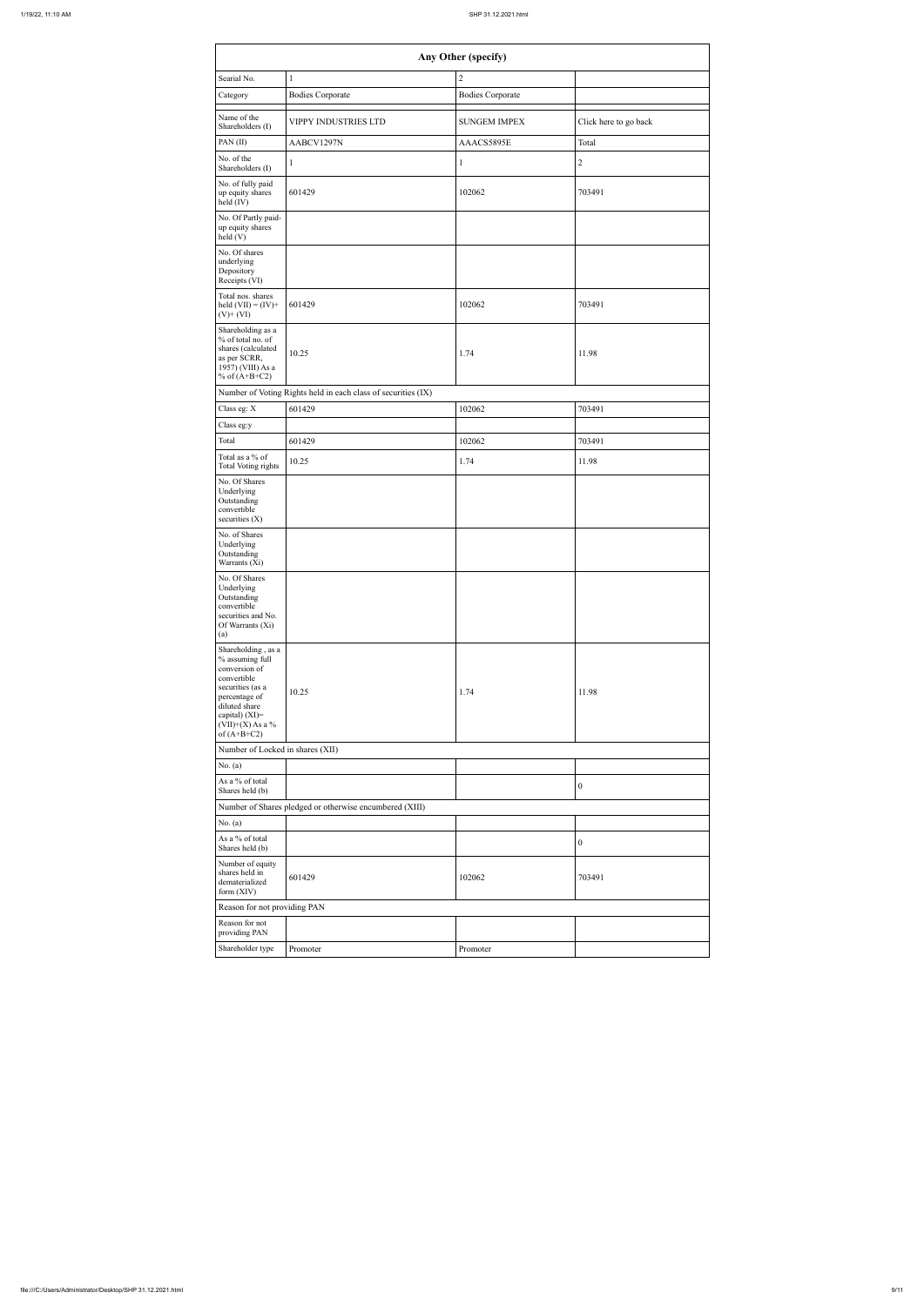| Searial No.                                                                                                                                                                          |                                                               | Any Other (specify)                   |                       |
|--------------------------------------------------------------------------------------------------------------------------------------------------------------------------------------|---------------------------------------------------------------|---------------------------------------|-----------------------|
| Category                                                                                                                                                                             | $\mathbf{1}$<br><b>Bodies Corporate</b>                       | $\sqrt{2}$<br><b>Bodies Corporate</b> |                       |
| Name of the<br>Shareholders (I)                                                                                                                                                      | VIPPY INDUSTRIES LTD                                          | <b>SUNGEM IMPEX</b>                   | Click here to go back |
| PAN(II)                                                                                                                                                                              | AABCV1297N                                                    | AAACS5895E                            | Total                 |
| No. of the<br>Shareholders (I)                                                                                                                                                       | $\mathbf{1}$                                                  | $\mathbf{1}$                          | $\mathbf{2}$          |
| No. of fully paid<br>up equity shares<br>held (IV)                                                                                                                                   | 601429                                                        | 102062                                | 703491                |
| No. Of Partly paid-<br>up equity shares<br>held(V)                                                                                                                                   |                                                               |                                       |                       |
| No. Of shares<br>underlying<br>Depository<br>Receipts (VI)                                                                                                                           |                                                               |                                       |                       |
| Total nos. shares<br>held $(VII) = (IV) +$<br>$(V)$ + $(VI)$                                                                                                                         | 601429                                                        | 102062                                | 703491                |
| Shareholding as a<br>% of total no. of<br>shares (calculated<br>as per SCRR,<br>1957) (VIII) As a<br>% of $(A+B+C2)$                                                                 | 10.25                                                         | 1.74                                  | 11.98                 |
|                                                                                                                                                                                      | Number of Voting Rights held in each class of securities (IX) |                                       |                       |
| Class eg: X                                                                                                                                                                          | 601429                                                        | 102062                                | 703491                |
| Class eg:y                                                                                                                                                                           |                                                               |                                       |                       |
| Total                                                                                                                                                                                | 601429                                                        | 102062                                | 703491                |
| Total as a % of<br><b>Total Voting rights</b><br>No. Of Shares<br>Underlying<br>Outstanding<br>convertible<br>securities (X)                                                         | 10.25                                                         | 1.74                                  | 11.98                 |
| No. of Shares<br>Underlying<br>Outstanding<br>Warrants (Xi)                                                                                                                          |                                                               |                                       |                       |
| No. Of Shares<br>Underlying<br>Outstanding<br>convertible<br>securities and No.<br>Of Warrants (Xi)<br>(a)                                                                           |                                                               |                                       |                       |
| Shareholding, as a<br>% assuming full<br>conversion of<br>convertible<br>securities (as a<br>percentage of<br>diluted share<br>capital) (XI)=<br>$(VII)+(X)$ As a %<br>of $(A+B+C2)$ | 10.25                                                         | 1.74                                  | 11.98                 |
| Number of Locked in shares (XII)                                                                                                                                                     |                                                               |                                       |                       |
| No. $(a)$                                                                                                                                                                            |                                                               |                                       |                       |
| As a % of total<br>Shares held (b)                                                                                                                                                   |                                                               |                                       | $\boldsymbol{0}$      |
| No. $(a)$<br>As a % of total<br>Shares held (b)                                                                                                                                      | Number of Shares pledged or otherwise encumbered (XIII)       |                                       | $\boldsymbol{0}$      |
| Number of equity<br>shares held in<br>dematerialized<br>form (XIV)                                                                                                                   | 601429                                                        | 102062                                | 703491                |
| Reason for not providing PAN                                                                                                                                                         |                                                               |                                       |                       |
| Reason for not<br>providing PAN                                                                                                                                                      |                                                               |                                       |                       |
| Shareholder type                                                                                                                                                                     | Promoter                                                      | Promoter                              |                       |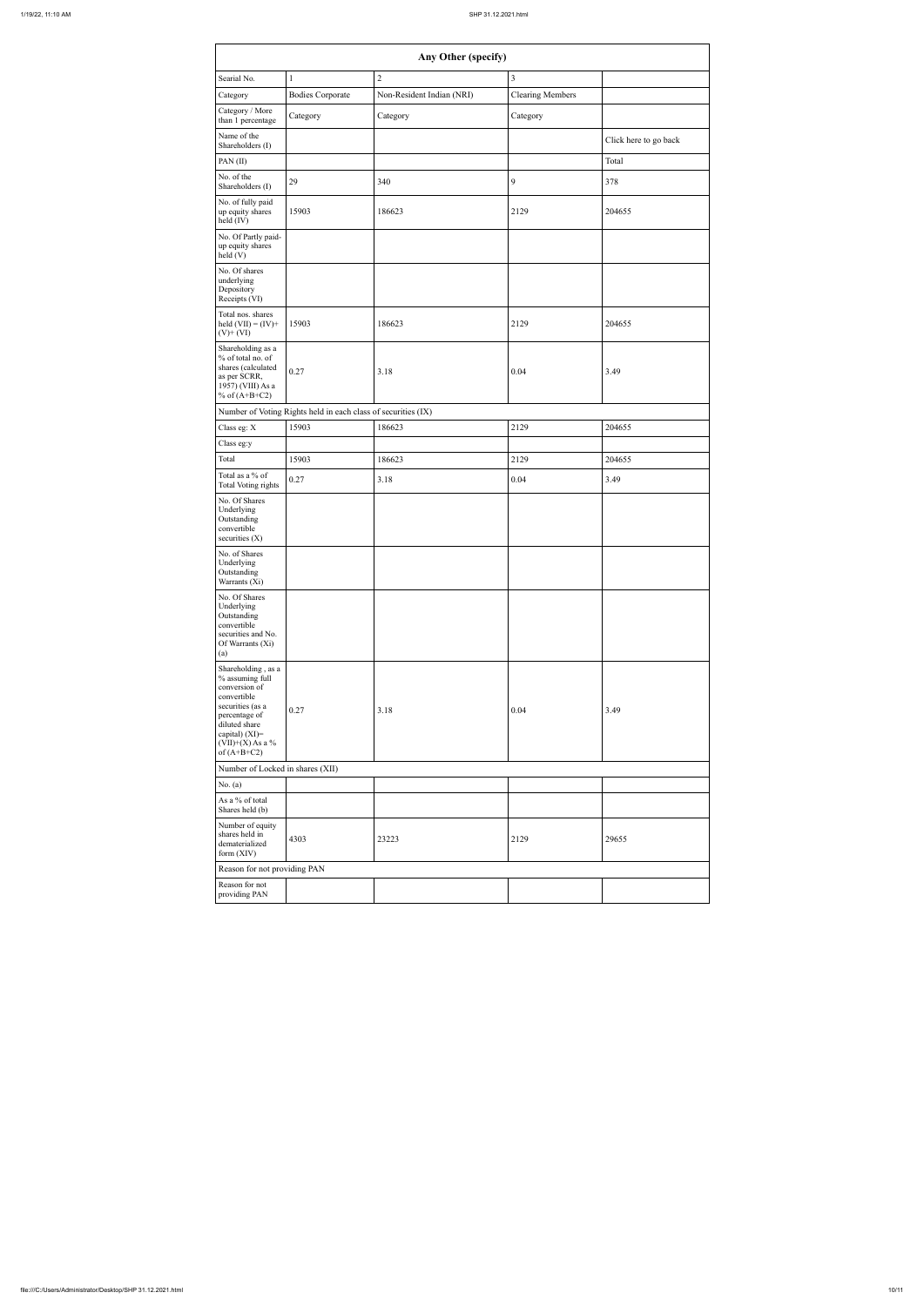|                                                                                                                                                                                      |                                                               | Any Other (specify)       |                         |                       |
|--------------------------------------------------------------------------------------------------------------------------------------------------------------------------------------|---------------------------------------------------------------|---------------------------|-------------------------|-----------------------|
| Searial No.                                                                                                                                                                          | $\mathbf{1}$                                                  | $\overline{2}$            | $\overline{3}$          |                       |
| Category                                                                                                                                                                             | <b>Bodies Corporate</b>                                       | Non-Resident Indian (NRI) | <b>Clearing Members</b> |                       |
| Category / More<br>than 1 percentage                                                                                                                                                 | Category                                                      | Category                  | Category                |                       |
| Name of the<br>Shareholders (I)                                                                                                                                                      |                                                               |                           |                         | Click here to go back |
| PAN(II)                                                                                                                                                                              |                                                               |                           |                         | Total                 |
| No. of the<br>Shareholders (I)                                                                                                                                                       | 29                                                            | 340                       | 9                       | 378                   |
| No. of fully paid<br>up equity shares<br>held (IV)                                                                                                                                   | 15903                                                         | 186623                    | 2129                    | 204655                |
| No. Of Partly paid-<br>up equity shares<br>held(V)                                                                                                                                   |                                                               |                           |                         |                       |
| No. Of shares<br>underlying<br>Depository<br>Receipts (VI)                                                                                                                           |                                                               |                           |                         |                       |
| Total nos. shares<br>held $(VII) = (IV) +$<br>$(V)$ + $(VI)$                                                                                                                         | 15903                                                         | 186623                    | 2129                    | 204655                |
| Shareholding as a<br>% of total no. of<br>shares (calculated<br>as per SCRR,<br>1957) (VIII) As a<br>% of $(A+B+C2)$                                                                 | 0.27                                                          | 3.18                      | 0.04                    | 3.49                  |
|                                                                                                                                                                                      | Number of Voting Rights held in each class of securities (IX) |                           |                         |                       |
| Class eg: X                                                                                                                                                                          | 15903                                                         | 186623                    | 2129                    | 204655                |
| Class eg:y                                                                                                                                                                           |                                                               |                           |                         |                       |
| Total                                                                                                                                                                                | 15903                                                         | 186623                    | 2129                    | 204655                |
| Total as a % of<br>Total Voting rights                                                                                                                                               | 0.27                                                          | 3.18                      | 0.04                    | 3.49                  |
| No. Of Shares<br>Underlying<br>Outstanding<br>convertible<br>securities $(X)$                                                                                                        |                                                               |                           |                         |                       |
| No. of Shares<br>Underlying<br>Outstanding<br>Warrants (Xi)                                                                                                                          |                                                               |                           |                         |                       |
| No. Of Shares<br>Underlying<br>Outstanding<br>convertible<br>securities and No.<br>Of Warrants (Xi)<br>(a)                                                                           |                                                               |                           |                         |                       |
| Shareholding, as a<br>% assuming full<br>conversion of<br>convertible<br>securities (as a<br>percentage of<br>diluted share<br>capital) (XI)=<br>$(VII)+(X)$ As a %<br>of $(A+B+C2)$ | 0.27                                                          | 3.18                      | 0.04                    | 3.49                  |
| Number of Locked in shares (XII)                                                                                                                                                     |                                                               |                           |                         |                       |
| No. $(a)$                                                                                                                                                                            |                                                               |                           |                         |                       |
| As a % of total<br>Shares held (b)                                                                                                                                                   |                                                               |                           |                         |                       |
| Number of equity<br>shares held in<br>dematerialized<br>form (XIV)                                                                                                                   | 4303                                                          | 23223                     | 2129                    | 29655                 |
| Reason for not providing PAN                                                                                                                                                         |                                                               |                           |                         |                       |
| Reason for not<br>providing PAN                                                                                                                                                      |                                                               |                           |                         |                       |